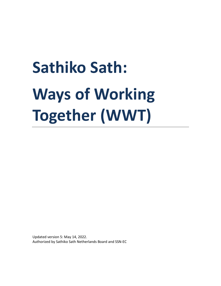# **Sathiko Sath: Ways of Working Together (WWT)**

Updated version 5: May 14, 2022. Authorized by Sathiko Sath Netherlands Board and SSN-EC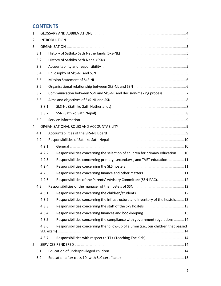# **CONTENTS**

| 1  |       |       |  |                                                                                     |  |
|----|-------|-------|--|-------------------------------------------------------------------------------------|--|
| 2. |       |       |  |                                                                                     |  |
| 3. |       |       |  |                                                                                     |  |
|    | 3.1   |       |  |                                                                                     |  |
|    | 3.2   |       |  |                                                                                     |  |
|    | 3.3   |       |  |                                                                                     |  |
|    | 3.4   |       |  |                                                                                     |  |
|    | 3.5   |       |  |                                                                                     |  |
|    | 3.6   |       |  |                                                                                     |  |
|    | 3.7   |       |  | Communication between SSN and SkS-NL and decision-making process. 7                 |  |
|    | 3.8   |       |  |                                                                                     |  |
|    |       | 3.8.1 |  |                                                                                     |  |
|    |       | 3.8.2 |  |                                                                                     |  |
|    | 3.9   |       |  |                                                                                     |  |
| 4. |       |       |  |                                                                                     |  |
|    | 4.1   |       |  |                                                                                     |  |
|    | 4.2   |       |  |                                                                                     |  |
|    | 4.2.1 |       |  |                                                                                     |  |
|    | 4.2.2 |       |  | Responsibilities concerning the selection of children for primary education10       |  |
|    | 4.2.3 |       |  | Responsibilities concerning primary, secondary-, and TVET education11               |  |
|    | 4.2.4 |       |  |                                                                                     |  |
|    | 4.2.5 |       |  |                                                                                     |  |
|    | 4.2.6 |       |  | Responsibilities of the Parents' Advisory Committee (SSN-PAC)12                     |  |
|    | 4.3   |       |  |                                                                                     |  |
|    |       |       |  |                                                                                     |  |
|    |       | 4.3.2 |  | Responsibilities concerning the infrastructure and inventory of the hostels13       |  |
|    | 4.3.3 |       |  |                                                                                     |  |
|    |       | 4.3.4 |  |                                                                                     |  |
|    |       | 4.3.5 |  | Responsibilities concerning the compliance with government regulations 14           |  |
|    |       | 4.3.6 |  | Responsibilities concerning the follow-up of alumni (i.e., our children that passed |  |
|    |       | 4.3.7 |  |                                                                                     |  |
| 5  |       |       |  |                                                                                     |  |
|    | 5.1   |       |  |                                                                                     |  |
|    | 5.2   |       |  |                                                                                     |  |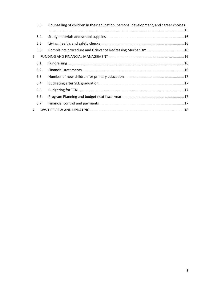| 5.3            | Counselling of children in their education, personal development, and career choices |
|----------------|--------------------------------------------------------------------------------------|
| 5.4            |                                                                                      |
| 5.5            |                                                                                      |
| 5.6            |                                                                                      |
| 6              |                                                                                      |
| 6.1            |                                                                                      |
| 6.2            |                                                                                      |
| 6.3            |                                                                                      |
| 6.4            |                                                                                      |
| 6.5            |                                                                                      |
| 6.6            |                                                                                      |
| 6.7            |                                                                                      |
| $\overline{7}$ |                                                                                      |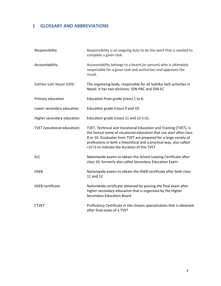# **1 GLOSSARY AND ABBREVIATIONS**

| Responsibility                     | Responsibility is an ongoing duty to do the work that is needed to<br>complete a given task.                                                                                                                                                                                                                                     |
|------------------------------------|----------------------------------------------------------------------------------------------------------------------------------------------------------------------------------------------------------------------------------------------------------------------------------------------------------------------------------|
| Accountability                     | Accountability belongs to a board (or person) who is ultimately<br>responsible for a given task and authorizes and approves the<br>result.                                                                                                                                                                                       |
| Sathiko Sath Nepal (SSN)           | The organising body, responsible for all Sathiko Sath activities in<br>Nepal. It has two divisions: SSN-PAC and SSN-EC                                                                                                                                                                                                           |
| Primary education                  | Education from grade (class) 1 to 8.                                                                                                                                                                                                                                                                                             |
| Lower secondary education          | Education grade (class) 9 and 10.                                                                                                                                                                                                                                                                                                |
| Higher secondary education         | Education grade (class) 11 and 12 $(+2)$ .                                                                                                                                                                                                                                                                                       |
| <b>TVET</b> (vocational education) | TVET, Technical and Vocational Education and Training (TVET), is<br>the formal name of vocational education that can start after class<br>8 or 10. Graduates from TVET are prepared for a large variety of<br>professions in both a theoretical and a practical way, also called<br>+2/+3 to indicate the duration of this TVET. |
| <b>SLC</b>                         | Nationwide exams to obtain the School Leaving Certificate after<br>class 10; formerly also called Secondary Education Exam.                                                                                                                                                                                                      |
| <b>HSEB</b>                        | Nationwide exams to obtain the HSEB certificate after both class<br>11 and 12                                                                                                                                                                                                                                                    |
| <b>HSEB</b> certificate            | Nationwide certificate obtained by passing the final exam after<br>higher secondary education that is organised by the Higher<br>Secondary Education Board                                                                                                                                                                       |
| <b>CTVET</b>                       | Proficiency Certificate in the chosen specialisation that is obtained<br>after final exam of a TVET                                                                                                                                                                                                                              |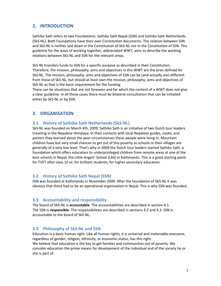# **2. INTRODUCTION**

Sathiko Sath refers to two Foundations: Sathiko Sath Nepal (SSN) and Sathiko Sath Netherlands (SkS-NL). Both Foundations have their own Constitution documents. The relation between SSN and SkS-NL is neither laid down in the Constitution of SkS-NL nor in the Constitution of SSN. This guideline for the ways of working together, abbreviated WWT, aims to describe the working relations between SkS-NL and SSN for the relevant areas.

SkS-NL transfers funds to SSN for a specific purpose as described in their Constitution. Therefore, the mission, philosophy, aims and objectives in this WWT are the ones defined for SkS-NL. The mission, philosophy, aims and objectives of SSN can be (and actually are) different from those of SkS-NL, but should at least own the mission, philosophy, aims and objectives of SkS-NL as that is the basic requirement for the funding.

There can be situations that are not foreseen and for which the content of a WWT does not give a clear guideline. In all those cases there must be bilateral consultation that can be initiated either by SkS-NL or by SSN.

# **3. ORGANISATION**

# **3.1 History of Sathiko Sath Netherlands (SkS-NL)**

SkS-NL was founded on March 4th, 2009. Sathiko Sath is an initiative of two Dutch tour leaders traveling in the Nepalese Himalaya. In their contacts with local Nepalese guides, cooks, and porters they learned about the poor circumstances these people were living in. Mountain children have but very small chances to get out of this poverty as schools in their villages are generally of a very low level. That's why in 2009 the Dutch tour leaders started Sathiko Sath, a foundation which offers education to underprivileged children from remote areas at one of the best schools in Nepal, the Little Angels' School (LAS) in Kathmandu. This is a good starting point for TVET after class 10 or, for brilliant students, for higher secondary education.

# **3.2 History of Sathiko Sath Nepal (SSN)**

SSN was founded at Kathmandu in November 2009. After the foundation of SKS-NL it was obvious that there had to be an operational organisation in Nepal. This is why SSN was founded.

# **3.3 Accountability and responsibility**

The board of SKS-NL is **accountable**. The accountabilities are described in section 4.1. The SSN is **responsible**. The responsibilities are described in sections 4.2 and 4.3. SSN is accountable to the board of SkS-NL.

# **3.4 Philosophy of SkS-NL and SSN**

Education is a basic human right. Like all human rights, it is universal and inalienable-everyone, regardless of gender, religion, ethnicity, or economic status, has this right. We believe that education is the key to get families and communities out of poverty. We consider education the prime means for development of the individual and of the society he or she is part of.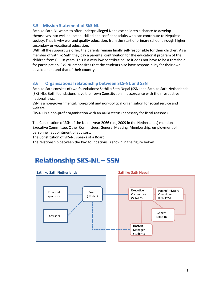# **3.5 Mission Statement of SkS-NL**

Sathiko Sath-NL wants to offer underprivileged Nepalese children a chance to develop themselves into well educated, skilled and confident adults who can contribute to Nepalese society. That is why we fund quality education, from the start of primary school through higher secondary or vocational education.

With all the support we offer, the parents remain finally self-responsible for their children. As a member of Sathiko Sath they pay a parental contribution for the educational program of the children from 6 – 18 years. This is a very low contribution, so it does not have to be a threshold for participation. SkS-NL emphasizes that the students also have responsibility for their own development and that of their country.

# **3.6 Organisational relationship between SkS-NL and SSN**

Sathiko Sath consists of two foundations: Sathiko Sath Nepal (SSN) and Sathiko Sath Netherlands (SkS-NL). Both foundations have their own Constitution in accordance with their respective national laws.

SSN is a non-governmental, non-profit and non-political organisation for social service and welfare.

SkS-NL is a non-profit organisation with an ANBI status (necessary for fiscal reasons).

The Constitution of SSN of the Nepali year 2066 (i.e., 2009 in the Netherlands) mentions: Executive Committee, Other Committees, General Meeting, Membership, employment of personnel, appointment of advisors.

The Constitution of SkS-NL speaks of a Board

The relationship between the two foundations is shown in the figure below.

# **Relationship SKS-NL - SSN**

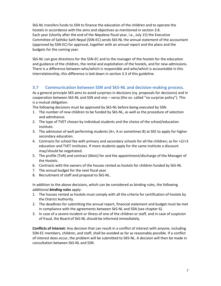SkS-NL transfers funds to SSN to finance the education of the children and to operate the hostels in accordance with the aims and objectives as mentioned in section 3.8. Each year (shortly after the end of the Nepalese fiscal year, i.e., July 15) the Executive Committee of Sathiko Sath Nepal (SSN-EC) sends SkS-NL the annual statement of the accountant (approved by SSN-EC) for approval, together with an annual report and the plans and the budgets for the coming year.

SkS-NL can give directions for the SSN-EC and to the manager of the hostels for the education and guidance of the children, the rental and exploitation of the hostels, and for new admissions. There is a difference between who/which is responsible and who/which is accountable in this interrelationship, this difference is laid down in section 3.3 of this guideline.

# **3.7 Communication between SSN and SkS-NL and decision-making process.**

As a general principle SKS aims to avoid surprises in decisions (cq. proposals for decisions) and in cooperation between SkS-NL and SSN and vice – versa (the so- called "no surprise policy"). This is a mutual obligation.

The following decisions must be approved by SkS-NL before being executed by SSN:

- 1. The number of new children to be funded by SkS-NL, as well as the procedure of selection and admittance.
- 2. The type of TVET chosen by individual students and the choice of the school/education institute.
- 3. The admission of well performing students (A+, A or sometimes B) at SEE to apply for higher secondary education.
- 4. Contracts for school fee with primary and secondary schools for all the children; as for +2/+3 education and TVET institutes. If more students apply for the same institute a discount may/should be negotiated.
- 5. The profile (ToR) and contract (MoU) for and the appointment/discharge of the Manager of the Hostels.
- 6. Contracts with the owners of the houses rented as hostels for children funded by SkS-NL
- 7. The annual budget for the next fiscal year.
- 8. Recruitment of staff and proposal to SkS-NL.

In addition to the above decisions, which can be considered as binding rules, the following additional *binding rules* apply:

- 1. The houses rented as hostels must comply with all the criteria for certification of hostels by the District Authority.
- 2. The deadlines for submitting the annual report, financial statement and budget must be met in compliance with the agreements between SkS-NL and SSN (see chapter 6).
- 3. In case of a severe incident or illness of one of the children or staff, and in case of suspicion of fraud, the Board of SkS-NL should be informed immediately.

**Conflicts of Interest:** Any decision that can result in a conflict of interest with anyone, including SSN-EC members, children, and staff, shall be avoided as far as reasonably possible. If a conflict of interest does occur, the problem will be submitted to SKS-NL. A decision will then be made in consultation between SkS-NL and SSN.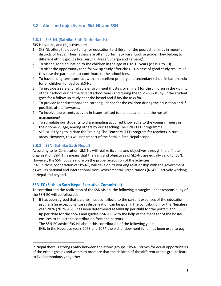# **3.8 Aims and objectives of SkS-NL and SSN**

# **3.8.1 SkS-NL (Sathiko Sath Netherlands)**

SkS-NL's aims, and objectives are:

- 1. SkS-NL offers the opportunity for education to children of the poorest families in mountain districts of Nepal. Their fathers are often porter, (auxiliary) cook or guide. They belong to different ethnic groups like Gurung, Magar, Sherpa and Tamang $^1$ .
- 2. To offer a good education to the children in the age of 6 to 16 years (class 1 to 10).
- 3. To offer the opportunity for a follow-up study after class 10 in case of good study results. In this case the parents must contribute to the school fees.
- 4. To have a long-term contract with an excellent primary and secondary school in Kathmandu for all children funded by SkS-NL.
- 5. To provide a safe and reliable environment (hostels or similar) for the children in the vicinity of their school during the first 10 school years and during the follow-up study (if the student goes for a follow up study near the hostel and if he/she asks for).
- 6. To provide for educational and career guidance for the children during the education and if possible, also afterwards.
- 7. To involve the parents actively in issues related to the education and the hostel management.
- 8. To stimulate our students to disseminating acquired knowledge to the young villagers in their home village, among others by our Teaching The Kids (TTK) programme.
- 9. SkS-NL is trying to initiate the Training The Teachers (TTT) program for teachers in rural areas. However, this will not be part of the Sathiko Sath Nepal scope.

# **3.8.2 SSN (Sathiko Sath Nepal)**

According to its Constitution, SkS-NL will realize its aims and objectives through the affiliate organization SSN. This means that the aims and objectives of SkS-NL are equally valid for SSN. However, the SSN focus is more on the proper execution of the activities.

SSN, in close cooperation of SkS-NL, will develop its working relationship with the government as well as national and international Non-Governmental Organizations (NGO'S) actively working in Nepal and beyond.

# **SSN-EC (Sathiko Sath Nepal Executive Committee)**

To contribute to the realization of the SSN vision, the following strategies under responsibility of the SSN-EC will be followed:

1. It has been agreed that parents must contribute to the current expenses of the education program (in exceptional cases dispensation can be given). The contribution for the Nepalese year 2076 (2019-2020) has been determined at 6000 Rp per child for the porters and 8000 Rp per child for the cooks and guides. SSN-EC, with the help of the manager of the hostel ensures to collect the contribution from the parents.

The SSN-EC advice SkS-NL about this contribution of the following years.

[NB: In the Nepalese years 2073 and 2074 the old 'endowment fund' has been used to pay

In Nepal there is strong rivalry between the ethnic groups. SkS-NL strives for equal opportunities of the ethnic groups and wants to promote that the children of the different ethnic groups learn to live harmoniously together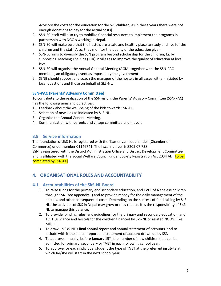Advisory the costs for the education for the SkS children, as in these years there were not enough donations to pay for the actual costs]

- 2. SSN-EC itself will also try to mobilize financial resources to implement the programs in partnership with NGO's working in Nepal.
- 3. SSN-EC will make sure that the hostels are a safe and healthy place to study and live for the children and the staff. Also, they monitor the quality of the education given.
- 4. SSN-EC aims to diversify the SSN program beyond scholarship for the children, f.i. by supporting Teaching The Kids (TTK) in villages to improve the quality of education at local level.
- 5. SSN-EC will organise the Annual General Meeting (AGM) together with the SSN-PAC members, an obligatory event as imposed by the government.
- 6. SSNB should support and coach the manager of the hostels in all cases; either initiated by local questions and those on behalf of SkS-NL.

# **SSN-PAC (Parents' Advisory Committee)**

To contribute to the realization of the SSN vision, the Parents' Advisory Committee (SSN-PAC) has the following aims and objectives:

- 1. Feedback about the well-being of the kids towards SSN-EC.
- 2. Selection of new kids as indicated by SkS-NL.
- 3. Organize the Annual General Meeting.
- 4. Communication with parents and village committee and mayor.

# **3.9 Service information**

The foundation of SkS-NL is registered with the 'Kamer van Koophandel' (Chamber of Commerce) under number 01146741. The fiscal number is 8205.07.738.

SSN is registered with the District Administration Office and District Development Committee and is affiliated with the Social Welfare Council under Society Registration Act 2034 AD [To be completed by SSN-EC].

# **4. ORGANISATIONAL ROLES AND ACCOUNTABILITY**

# **4.1 Accountabilities of the SkS-NL Board**

- 1. To raise funds for the primary and secondary education, and TVET of Nepalese children through SSN (see appendix 1) and to provide money for the daily management of the hostels, and other consequential costs. Depending on the success of fund raising by SkS-NL, the activities of SKS in Nepal may grow or may reduce. It is the responsibility of SkS-NL to manage this balance.
- 2. To provide 'binding rules' and guidelines for the primary and secondary education, and TVET, guidance and hostels for the children financed by SkS-NL or related NGO's (like Milijuli).
- 3. To draw up SkS-NL's final annual report and annual statement of accounts, and to include with it the annual report and statement of account drawn up by SSN.
- 4. To approve annually, before January  $15<sup>th</sup>$ , the number of new children that can be admitted for primary, secondary or TVET in each following school year.
- 5. To approve for each individual student the type of TVET at the preferred institute at which he/she will start in the next school year.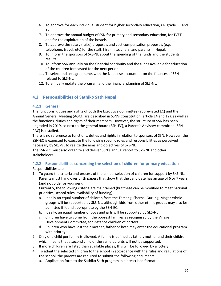- 6. To approve for each individual student for higher secondary education, i.e. grade 11 and 12
- 7. To approve the annual budget of SSN for primary and secondary education, for TVET and for the exploitation of the hostels.
- 8. To approve the salary (raise) proposals and cost compensation proposals (e.g. telephone, travel, etc) for the staff, hire- in teachers, and parents in Nepal.
- 9. To inform the sponsors of SkS-NL about the spending of the funds and the students' results.
- 10. To inform SSN annually on the financial continuity and the funds available for education of the children forecasted for the next period.
- 11. To select and set agreements with the Nepalese accountant on the finances of SSN related to SkS-NL.
- 12. To annually update the program and the financial planning of SkS-NL.

# **4.2 Responsibilities of Sathiko Sath Nepal**

# **4.2.1 General**

The functions, duties and rights of both the Executive Committee (abbreviated EC) and the Annual General Meeting (AGM) are described in SSN's Constitution (article 14 and 12), as well as the functions, duties and rights of their members. However, the structure of SSN has been upgraded in 2019, so next to the general board (SSN-EC), a Parent's Advisory committee (SSN-PAC) is installed.

There is no reference to functions, duties and rights in relation to sponsors of SSN. However, the SSN-EC is expected to execute the following specific roles and responsibilities as perceived necessary by SkS-NL to realize the aims and objectives of SkS-NL.

The SSN-EC must also organize and deliver SSN's annual report to SkS-NL and other stakeholders.

#### **4.2.2 Responsibilities concerning the selection of children for primary education** Responsibilities are:

1. To guard the criteria and process of the annual selection of children for support by SkS-NL. Parents must hand over birth papers that show that the candidate has an age of 6 or 7 years (and not older or younger).

Currently, the following criteria are maintained (but these can be modified to meet national priorities, school rules, availability of funding):

- a. Ideally an equal number of children from the Tamang, Sherpa, Gurung, Magar ethnic groups will be supported by SkS-NL, although kids from other ethnic groups may also be admitted if found appropriate by the SSN-EC.
- b. Ideally, an equal number of boys and girls will be supported by SkS-NL
- c. Children have to come from the poorest families as recognised by the Village Development Committee, for instance children of porters.
- d. Children who have lost their mother, father or both may enter the educational program with priority.
- 2. Only one child per family is allowed. A family is defined as father, mother and their children, which means that a second child of the same parents will not be supported.
- 3. If more children are listed than available places, this will be followed by a lottery.
- 4. To admit the selected children to the school in accordance with the rules and regulations of the school, the parents are required to submit the following documents:
	- a. Application form to the Sathiko Sath program in a prescribed format.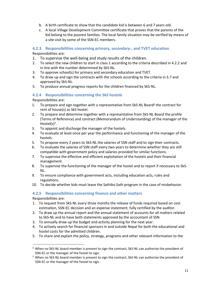- b. A birth certificate to show that the candidate kid is between 6 and 7 years old.
- c. A local Village Development Committee certificate that proves that the parents of the kid belong to the poorest families. The local family situation may be verified by means of a site visit by some of the SSN-EC members.

# **4.2.3 Responsibilities concerning primary, secondary-, and TVET education**

Responsibilities are:

- 1. To supervise the well-being and study results of the children.
- 2. To select the new children to start in class 1 according to the criteria described in 4.2.2 and in line with the number determined by SkS-NL.
- 3. To approve school(s) for primary and secondary education and TVET.
- 4. To draw up and sign the contracts with the schools according to the criteria in 3.7 and approved by SkS-NL.
- 5. To produce annual progress reports for the children financed by SkS-NL.

# **4.2.4 Responsibilities concerning the SkS hostels**

Responsibilities are:

- 1. To prepare and sign together with a representative from SkS-NL Board<sup>2</sup> the contract for rent of house(s) as SkS hostel.
- 2. To prepare and determine together with a representative from SkS-NL Board the profile (Terms of Reference) and contract (Memorandum of Understanding) of the manager of the Hostel $(s)^3$ .
- 3. To appoint and discharge the manager of the hostels.
- 4. To evaluate at least once per year the performance and functioning of the manager of the hostels.
- 5. To propose every 2 years to SkS-NL the salaries of SSN staff and to sign their contracts.
- 6. To evaluate the salaries of SSN staff every two years to determine whether they are still compatible with government policy and salaries provided for similar functions.
- 7. To supervise the effective and efficient exploitation of the hostels and their financial management.
- 8. To supervise the functioning of the manager of the hostel and to report if necessary to SkS-NL.
- 9. To ensure compliance with government acts, including education acts, rules and regulations.
- 10. To decide whether kids must leave the Sathiko Sath program in the case of misbehavior.

# **4.2.5 Responsibilities concerning finance and other matters**

Responsibilities are:

- 1. To request from SkS-NL every three months the release of funds required based on cost estimation, SSN-EC decision and an expense statement, fully certified by the auditor.
- 2. To draw up the annual report and the annual statement of accounts for all matters related to SkS-NL and to have both statements approved by the accountant of SSN.
- 3. To annually draw up the budget and activity planning for the next year.
- 4. To actively search for financial sponsors in and outside Nepal for both the educational and hostel costs for the admitted children.
- 5. To share and explain the policy, strategy, programs and other relevant information to the

<sup>&</sup>lt;sup>2,</sup> When no SkS-NL board member is present to sign the contract, SkS-NL can authorize the president of SSN-EC or the manager of the hostel to sign.

<sup>&</sup>lt;sup>3</sup> When no SkS-NL board member is present to sign the contract, SkS-NL can authorize the president of SSN-EC or the manager of the hostel to sign.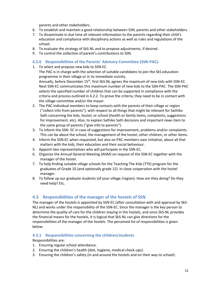parents and other stakeholders.

- 6. To establish and maintain a good relationship between SSN, parents and other stakeholders.
- 7. To disseminate in due time all relevant information to the parents regarding their child's education and compliance with disciplinary actions as well as rules and regulations of the school.
- 8. To evaluate the strategy of SkS-NL and to propose adjustments, if desired.
- 9. To control the collection of parent's contributions to SSN.

# **4.2.6 Responsibilities of the Parents' Advisory Committee (SSN-PAC).**

1. To select and propose new kids to SSN-EC.

The PAC is in charge with the selection of suitable candidates to join the SkS education programme in their village or in its immediate vicinity.

Annually, before December 15<sup>th</sup>, first SkS-NL agrees the maximum of new kids with SSN-EC. Next SSN-EC communicates this maximum number of new kids to the SSN-PAC. The SSN-PAC selects the specified number of children that can be supported in compliance with the criteria and process outlined in 4.2.2. To prove the criteria, they need to be in contact with the village committee and/or the mayor.

- 2. The PAC individual members to keep contacts with the parents of their village or region ("collect info from parents"), with respect to all things that might be relevant for Sathiko Sath concerning the kids, hostel, or school (health or family items, complaints, suggestions for improvement, etc). Also, to explain Sathiko Sath decisions and important news item to the same group of parents ("give info to parents").
- 3. To inform the SSN- EC in case of suggestions for improvement, problems and/or complaints. This can be about the school, the management of the hostel, other children, or other items.
- 4. Inform the SSN-EC when requested, but also on PAC members own initiative, about all that matters with the kids, their education and their social behaviour.
- 5. Appoint two representatives who will participate in the SSN-EC.
- 6. Organize the Annual General Meeting (AGM) on request of the SSN-EC together with the manager of the hostel.
- 7. To help finding suitable village schools for the Teaching The Kids (TTK) program for the graduates of Grade 10 (and optionally grade 12). In close cooperation with the hostel manager.
- 8. To follow up our graduate students (of your village /region). How are they doing? Do they need help? Etc.

# **4.3 Responsibilities of the manager of the hostels of SSN**

The manager of the hostels is appointed by SSN-EC (after consultation with and approval by SkS-NL) and works under the responsibility of the SSN-EC. Since the manager is the key person to determine the quality of care for the children staying in the hostels, and since SkS-NL provides the financial means for the hostels, it is logical that SkS-NL can give directions for the responsibilities of the manager of the hostels. The perceived list of responsibilities is given below.

# **4.3.1 Responsibilities concerning the children/students**

Responsibilities are:

- 1. Ensuring regular school attendance.
- 2. Ensuring the children's health (diet, hygiene, medical check-ups).
- 3. Ensuring the children's safety (in and around the hostels and on their way to school).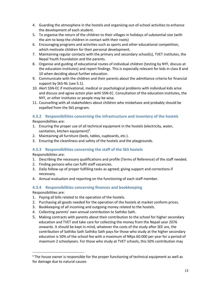- 4. Guarding the atmosphere in the hostels and organizing out-of-school activities to enhance the development of each student.
- 5. To organise the return of the children to their villages in holidays of substantial size (with the aim to keep the children in contact with their roots)
- 6. Encouraging programs and activities such as sports and other educational competition, which motivate children for their personal development.
- 7. Maintaining regular contacts with the primary and secondary school(s), TVET institutes, the Nepal Youth Foundation and the parents.
- 8. Organise and guiding of educational routes of individual children (testing by NYF, discuss at the education institutes) and report findings. This is especially relevant for kids in class 8 and 10 when deciding about further education.
- 9. Communicate with the children and their parents about the admittance criteria for financial support by SkS-NL (see 5.1).
- 10. Alert SSN-EC if motivational, medical or psychological problems with individual kids arise and discuss and agree action plan with SSN-EC. Consultation of the education institutes, the NYF, or other institutes or people may be wise.
- 11. Counselling with all stakeholders about children who misbehave and probably should be expelled from the SkS program.

# **4.3.2 Responsibilities concerning the infrastructure and inventory of the hostels**

Responsibilities are:

- 1. Ensuring the proper use of all technical equipment in the hostels (electricity, water, sanitation, kitchen equipment)<sup>4</sup>.
- 2. Maintaining all furniture (beds, tables, cupboards, etc.).
- 3. Ensuring the cleanliness and safety of the hostels and the playgrounds.

# **4.3.3 Responsibilities concerning the staff of the SkS hostels**

Responsibilities are:

- 1. Describing the necessary qualifications and profile (Terms of Reference) of the staff needed.
- 2. Finding persons who can fulfil staff vacancies.
- 3. Daily follow-up of proper fulfilling tasks as agreed; giving support and corrections if necessary.
- 4. Annual evaluation and reporting on the functioning of each staff member.

# **4.3.4 Responsibilities concerning finances and bookkeeping**

Responsibilities are:

- 1. Paying all bills related to the operation of the hostels.
- 2. Purchasing all goods needed for the operation of the hostels at market conform prices.
- 3. Bookkeeping of all incoming and outgoing money related to the hostels.
- 4. Collecting parents' own annual contribution to Sathiko Sath.
- 5. Making contracts with parents about their contribution to the school for higher secondary education and TVET and take care for collecting the money from the Nepali year 2076 onwards. It should be kept in mind, whatever the costs of the study after SEE are, the contribution of Sathiko Sath Sathiko Sath pays for those who study at the higher secondary education is 50% of the school fee with a maximum of NRps 60.000 per year for a period of maximum 2 schoolyears. For those who study at TVET schools, this 50% contribution may

<sup>&</sup>lt;sup>4</sup> The house owner is responsible for the proper functioning of technical equipment as well as for damage due to natural causes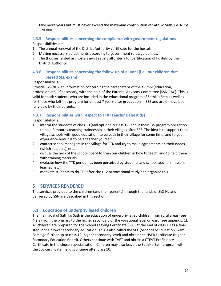take more years but must never exceed the maximum contribution of Sathiko Sath; i.e. NRps 120.000.

# **4.3.5 Responsibilities concerning the compliance with government regulations**

Responsibilities are:

- 1. The annual renewal of the District Authority certificate for the hostels.
- 2. Making necessary adjustments according to government rules/guidelines.
- **3.** The (houses rented as) hostels must satisfy all criteria for certification of hostels by the District Authority.

# **4.3.6 Responsibilities concerning the follow-up of alumni (i.e., our children that passed SEE exam)**

#### Responsibility is:

Provide SkS-NL with information concerning the career steps of the alumni (education, profession etc), if necessary, with the help of the Parents' Advisory Committee (SSN-PAC). This is valid for both students who are included in the educational program of Sathiko Sath as well as for those who left this program for at least 7 years after graduation in SEE and are or have been fully paid by their parents.

# **4.3.7 Responsibilities with respect to TTK (Teaching The Kids)**

Responsibility is:

- 1. inform the students of class 10 (and optionally class 12) about their SkS program obligation to do a 2-months teaching traineeship in their villages after SEE. The idea is to support their village schools with good education, to be back in their village for some time, and to get experience how it is to be a teacher yourself.
- 2. contact school managers in the village for TTK and try to make agreements on their needs (which subjects), etc..
- 3. discuss the help of the school board to train our children in how to teach, and to help them with training materials.
- 4. evaluate how the TTK period has been perceived by students and school teachers (lessons learned, etc).
- 5. motivate students to do TTK after class 12 or vocational study and organise this.

# **5 SERVICES RENDERED**

The services provided to the children (and their parents) through the funds of SkS-NL and delivered by SSN are described in this section.

# **5.1 Education of underprivileged children**

The main goal of Sathiko Sath is the education of underprivileged children from rural areas (see 4.2.2) from the primary to the higher secondary or the vocational level onward (see appendix 1). All children are prepared for the School Leaving Certificate (SLC) at the end of class 10 as a final step in their lower secondary education. This is also called the SEE (Secondary Education Exam). Some go further up to class 12 (higher secondary level) and obtain the HSEB certificate (Higher Secondary Education Board). Others continue with TVET and obtain a CTEVT Proficiency Certificate in the chosen specialisation. Children may also leave the Sathiko Sath program with the SLC certificate; i.e. discontinue after class 10.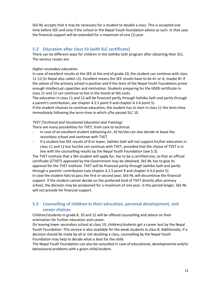SkS-NL accepts that it may be necessary for a student to double a class. This is accepted one time before SEE and only if the school or the Nepal Youth foundation advice as such. In that case the financial support will be extended for a maximum of one (1) year.

# **5.2 Education after class 10 (with SLC certificate)**

There can be different ways for children in the Sathiko Sath program after obtaining their SLC. The various routes are:

#### *Higher secondary education*

In case of excellent results at the SEE at the end of grade 10, the student can continue with class 11-12 (in Nepal also called +2). Excellent means the SEE results have to be A+ or A, maybe B+ if the advice of the primary school is positive and if the tests of the Nepal Youth Foundation prove enough intellectual capacities and motivation. Students preparing for the HSEB certificate in class 11 and 12 can continue to live in the hostel at SkS costs.

The education in class 11 and 12 will be financed partly through Sathiko Sath and partly through a parent's contribution, see chapter 4.2.5 point 9 and chapter 4.3.4 point 5).

If the student chooses to continue education, the student has to start in class 11 the term-time immediately following the term-time in which s/he passed SLC 10.

#### *TVET (Technical and Vocational Education and Training)*

There are many possibilities for TVET, from care to technical.

- In case of an excellent student (obtaining A+, A) he/she can also decide to leave the secondary school and continue with TVET.
- If a student has SEE results of B or lower, Sathiko Sath will not support his/her education in class 11 and 12 but he/she can continue with TVET, provided that the choice of TVET is in line with the counselling results by the Nepal Youth Foundation (see 5.3).

The TVET institute that a SkS-student will apply for, has to be a certified one, so that an official certificate (CTVET) approved by the Government may be obtained. SkS-NL has to give its approval for the TVET institute. TVET will be financed partly through Sathiko Sath and partly through a parents' contribution (see chapter 4.2.5 point 9 and chapter 4.3.4 point 5). In case the student fails to pass the first or second year, SkS-NL will discontinue the financial support. If the student cannot decide on the preferred kind of TVET directly after primary school, the decision may be postponed for a maximum of one year. Is this period longer, SkS-NL will not provide for financial support.

# **5.3 Counselling of children in their education, personal development, and career choices**

Children/students in grade 8, 10 and 12 will be offered counselling and advice on their orientation for further education and career.

On leaving lower secondary school at class 10, children/students get a career test by the Nepal Youth Foundation. This service is also available for the weak students in class 8. Additionally, if a decision should be made by all or not doubling a class, counselling by the Nepal Youth Foundation may help to decide what is best for the child.

The Nepal Youth Foundation can also be consulted in case of educational, developmental and/or behavioural problems with a given child/student.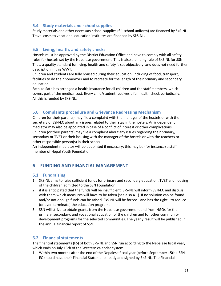# **5.4 Study materials and school supplies**

Study materials and other necessary school supplies (f.i. school uniform) are financed by SkS-NL. Travel costs to vocational education institutes are financed by SkS-NL.

# **5.5 Living, health, and safety checks**

Hostels must be approved by the District Education Office and have to comply with all safety rules for hostels set by the Nepalese government. This is also a binding rule of SkS-NL for SSN. Thus, a quality standard for living, health and safety is set objectively, and does not need further description in this WWT.

Children and students are fully housed during their education; including of food, transport, facilities to do their homework and to recreate for the length of their primary and secondary education.

Sathiko Sath has arranged a health insurance for all children and the staff members, which covers part of the medical cost. Every child/student receives a full health check periodically. All this is funded by SkS-NL.

# **5.6 Complaints procedure and Grievance Redressing Mechanism**

Children (or their parents) may file a complaint with the manager of the hostels or with the secretary of SSN-EC about any issues related to their stay in the hostels. An independent mediator may also be appointed in case of a conflict of interest or other complications. Children (or their parents) may file a complaint about any issues regarding their primary, secondary or TVET or their housing with the manager of the hostels or with the teachers or other responsible person(s) in their school.

An independent mediator will be appointed if necessary; this may be (for instance) a staff member of Nepal Youth Foundation.

# **6 FUNDING AND FINANCIAL MANAGEMENT**

# **6.1 Fundraising**

- 1. SkS-NL aims to raise sufficient funds for primary and secondary education, TVET and housing of the children admitted to the SSN Foundation.
- 2. if it is anticipated that the funds will be insufficient, SkS-NL will inform SSN-EC and discuss with them which measures will have to be taken (see also 4.1). If no solution can be found and/or not enough funds can be raised, SkS-NL will be forced - and has the right - to reduce (or even terminate) the education program.
- 3. SSN will strive to obtain grants from the Nepalese government and from NGOs for the primary, secondary, and vocational education of the children and for other community development programs for the selected communities. The yearly result will be published in the annual financial report of SSN.

# **6.2 Financial statements**

The financial statements (FS) of both SkS-NL and SSN run according to the Nepalese fiscal year, which ends on July 15th of the Western calendar system.

1. Within two months after the end of the Nepalese fiscal year (before September 15th), SSN-EC should have their Financial Statements ready and signed by SKS-NL. The Financial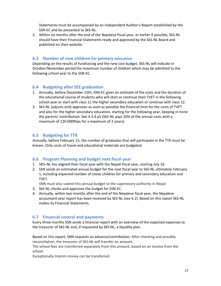Statements must be accompanied by an independent Auditor's Report established by the SSN-EC and be presented to SkS-NL.

2. Within six months after the end of the Nepalese fiscal year, or earlier if possible, SkS-NL should have their Financial Statements ready and approved by the SkS-NL Board and published on their website.

# **6.3 Number of new children for primary education**

Depending on the results of fundraising and the new cost budget, SkS-NL will indicate in October/November period the maximum number of children which may be admitted to the following school year to the SSN-EC.

# **6.4 Budgeting after SEE graduation**

- 1. Annually, before December 15th, SSN-EC gives an estimate of the costs and the duration of the educational course of students who will start or continue their TVET in the following school year or start with class 11 the higher secondary education or continue with class 12.
- 2. SkS-NL (adjusts and) approves as soon as possible the financial limit for the costs of TVET and also for the higher secondary education, starting for the following year, keeping in mind the parents' contribution. See 4.3.4 p5 (SkS-NL pays 50% of the annual costs with a maximum of 120.000Nrps for a maximum of 2 years).

# **6.5 Budgeting for TTK**

Annually, before February 15, the number of graduates that will participate in the TTK must be known. Only costs of travel and educational materials are budgeted.

# **6.6 Program Planning and budget next fiscal year**

- 1. SKS–NL has aligned their fiscal year with the Nepali fiscal year, starting July 16.
- 2. SSN sends an estimated annual budget for the next fiscal year to SkS-NL ultimately February 1, including expected number of (new) children for primary and secondary education and TVET.

SNN must also submit this annual budget to the supervisory authority in Nepal

- 3. SkS-NL checks and approves the budget for SSN-EC.
- 4. Annually, within two months after the end of the Nepalese fiscal year, the Nepalese accountant year report has been received by SkS-NL (see 6.2). Based on this report SkS-NL makes its Financial Statements.

# **6.7 Financial control and payments**

Every three months SSN sends a financial report with an overview of the expected expenses to the treasurer of SkS-NL and, if requested by SkS-NL, a liquidity plan.

Based on this report, SNN requests an advance/contribution. After checking and possibly reconciliation, the treasurer of SkS-NL will transfer an amount.

The school fees are transferred separately from this amount, based on an invoice from the school.

Exceptionally Interim money can be transferred.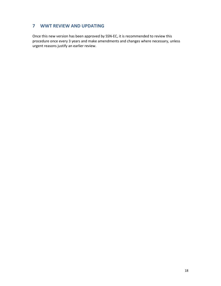# **7 WWT REVIEW AND UPDATING**

Once this new version has been approved by SSN-EC, it is recommended to review this procedure once every 3 years and make amendments and changes where necessary, unless urgent reasons justify an earlier review.